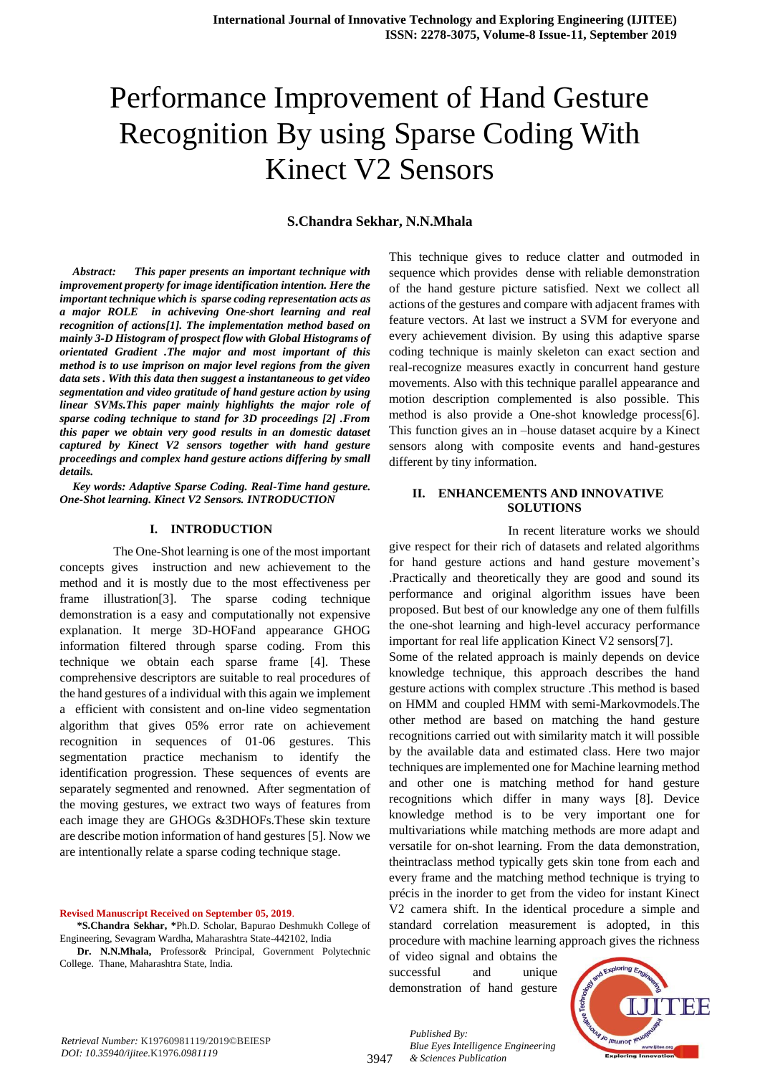# Performance Improvement of Hand Gesture Recognition By using Sparse Coding With Kinect V2 Sensors

## **S.Chandra Sekhar, N.N.Mhala**

*Abstract: This paper presents an important technique with improvement property for image identification intention. Here the important technique which is sparse coding representation acts as a major ROLE in achiveving One-short learning and real recognition of actions[1]. The implementation method based on mainly 3-D Histogram of prospect flow with Global Histograms of orientated Gradient .The major and most important of this method is to use imprison on major level regions from the given data sets . With this data then suggest a instantaneous to get video segmentation and video gratitude of hand gesture action by using linear SVMs.This paper mainly highlights the major role of sparse coding technique to stand for 3D proceedings [2] .From this paper we obtain very good results in an domestic dataset captured by Kinect V2 sensors together with hand gesture proceedings and complex hand gesture actions differing by small details.*

*Key words: Adaptive Sparse Coding. Real-Time hand gesture. One-Shot learning. Kinect V2 Sensors. INTRODUCTION*

### **I. INTRODUCTION**

 The One-Shot learning is one of the most important concepts gives instruction and new achievement to the method and it is mostly due to the most effectiveness per frame illustration[3]. The sparse coding technique demonstration is a easy and computationally not expensive explanation. It merge 3D-HOFand appearance GHOG information filtered through sparse coding. From this technique we obtain each sparse frame [4]. These comprehensive descriptors are suitable to real procedures of the hand gestures of a individual with this again we implement a efficient with consistent and on-line video segmentation algorithm that gives 05% error rate on achievement recognition in sequences of 01-06 gestures. This segmentation practice mechanism to identify the identification progression. These sequences of events are separately segmented and renowned. After segmentation of the moving gestures, we extract two ways of features from each image they are GHOGs &3DHOFs.These skin texture are describe motion information of hand gestures [5]. Now we are intentionally relate a sparse coding technique stage.

**Revised Manuscript Received on September 05, 2019**.

**\*S.Chandra Sekhar, \***Ph.D. Scholar, Bapurao Deshmukh College of Engineering, Sevagram Wardha, Maharashtra State-442102, India

**Dr. N.N.Mhala,** Professor& Principal, Government Polytechnic College. Thane, Maharashtra State, India.

This technique gives to reduce clatter and outmoded in sequence which provides dense with reliable demonstration of the hand gesture picture satisfied. Next we collect all actions of the gestures and compare with adjacent frames with feature vectors. At last we instruct a SVM for everyone and every achievement division. By using this adaptive sparse coding technique is mainly skeleton can exact section and real-recognize measures exactly in concurrent hand gesture movements. Also with this technique parallel appearance and motion description complemented is also possible. This method is also provide a One-shot knowledge process[6]. This function gives an in –house dataset acquire by a Kinect sensors along with composite events and hand-gestures different by tiny information.

## **II. ENHANCEMENTS AND INNOVATIVE SOLUTIONS**

 In recent literature works we should give respect for their rich of datasets and related algorithms for hand gesture actions and hand gesture movement's .Practically and theoretically they are good and sound its performance and original algorithm issues have been proposed. But best of our knowledge any one of them fulfills the one-shot learning and high-level accuracy performance important for real life application Kinect V2 sensors[7].

Some of the related approach is mainly depends on device knowledge technique, this approach describes the hand gesture actions with complex structure .This method is based on HMM and coupled HMM with semi-Markovmodels.The other method are based on matching the hand gesture recognitions carried out with similarity match it will possible by the available data and estimated class. Here two major techniques are implemented one for Machine learning method and other one is matching method for hand gesture recognitions which differ in many ways [8]. Device knowledge method is to be very important one for multivariations while matching methods are more adapt and versatile for on-shot learning. From the data demonstration, theintraclass method typically gets skin tone from each and every frame and the matching method technique is trying to précis in the inorder to get from the video for instant Kinect V2 camera shift. In the identical procedure a simple and standard correlation measurement is adopted, in this procedure with machine learning approach gives the richness

of video signal and obtains the successful and unique demonstration of hand gesture



3947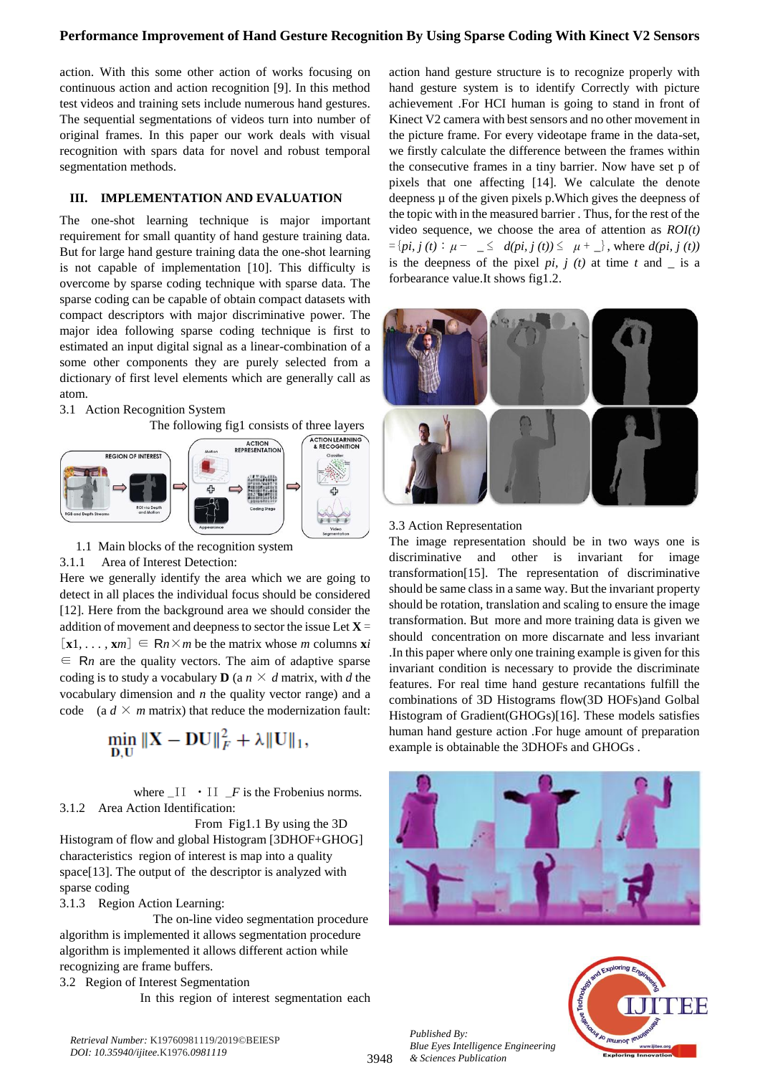# **Performance Improvement of Hand Gesture Recognition By Using Sparse Coding With Kinect V2 Sensors**

action. With this some other action of works focusing on continuous action and action recognition [9]. In this method test videos and training sets include numerous hand gestures. The sequential segmentations of videos turn into number of original frames. In this paper our work deals with visual recognition with spars data for novel and robust temporal segmentation methods.

## **III. IMPLEMENTATION AND EVALUATION**

The one-shot learning technique is major important requirement for small quantity of hand gesture training data. But for large hand gesture training data the one-shot learning is not capable of implementation [10]. This difficulty is overcome by sparse coding technique with sparse data. The sparse coding can be capable of obtain compact datasets with compact descriptors with major discriminative power. The major idea following sparse coding technique is first to estimated an input digital signal as a linear-combination of a some other components they are purely selected from a dictionary of first level elements which are generally call as atom.

## 3.1 Action Recognition System





1.1 Main blocks of the recognition system

### 3.1.1 Area of Interest Detection:

Here we generally identify the area which we are going to detect in all places the individual focus should be considered [12]. Here from the background area we should consider the addition of movement and deepness to sector the issue Let **X** =  $[\mathbf{x}1, \dots, \mathbf{x}m] \in \mathbb{R}^n \times m$  be the matrix whose *m* columns  $\mathbf{x}$ *i* ∈ R*n* are the quality vectors. The aim of adaptive sparse coding is to study a vocabulary **D** (a  $n \times d$  matrix, with *d* the vocabulary dimension and *n* the quality vector range) and a code  $(a \, d \times m \text{ matrix})$  that reduce the modernization fault:

$$
\min_{D,U} \|X - DU\|_F^2 + \lambda \|U\|_1,
$$

where  $II \cdot II$  *F* is the Frobenius norms. 3.1.2 Area Action Identification:

 From Fig1.1 By using the 3D Histogram of flow and global Histogram [3DHOF+GHOG] characteristics region of interest is map into a quality space[13]. The output of the descriptor is analyzed with sparse coding

3.1.3 Region Action Learning:

 The on-line video segmentation procedure algorithm is implemented it allows segmentation procedure algorithm is implemented it allows different action while recognizing are frame buffers.

3.2 Region of Interest Segmentation In this region of interest segmentation each

action hand gesture structure is to recognize properly with hand gesture system is to identify Correctly with picture achievement .For HCI human is going to stand in front of Kinect V2 camera with best sensors and no other movement in the picture frame. For every videotape frame in the data-set, we firstly calculate the difference between the frames within the consecutive frames in a tiny barrier. Now have set p of pixels that one affecting [14]. We calculate the denote deepness µ of the given pixels p.Which gives the deepness of the topic with in the measured barrier . Thus, for the rest of the video sequence, we choose the area of attention as *ROI(t)*   $=\{pi, j(t) : \mu - \leq d(pi, j(t)) \leq \mu + \leq \}$ , where  $d(pi, j(t))$ is the deepness of the pixel *pi, j (t)* at time  $t$  and  $\overline{\phantom{a}}$  is a forbearance value.It shows fig1.2.



### 3.3 Action Representation

The image representation should be in two ways one is discriminative and other is invariant for image transformation[15]. The representation of discriminative should be same class in a same way. But the invariant property should be rotation, translation and scaling to ensure the image transformation. But more and more training data is given we should concentration on more discarnate and less invariant .In this paper where only one training example is given for this invariant condition is necessary to provide the discriminate features. For real time hand gesture recantations fulfill the combinations of 3D Histograms flow(3D HOFs)and Golbal Histogram of Gradient(GHOGs)[16]. These models satisfies human hand gesture action .For huge amount of preparation example is obtainable the 3DHOFs and GHOGs .





*Published By: Blue Eyes Intelligence Engineering & Sciences Publication* 

3948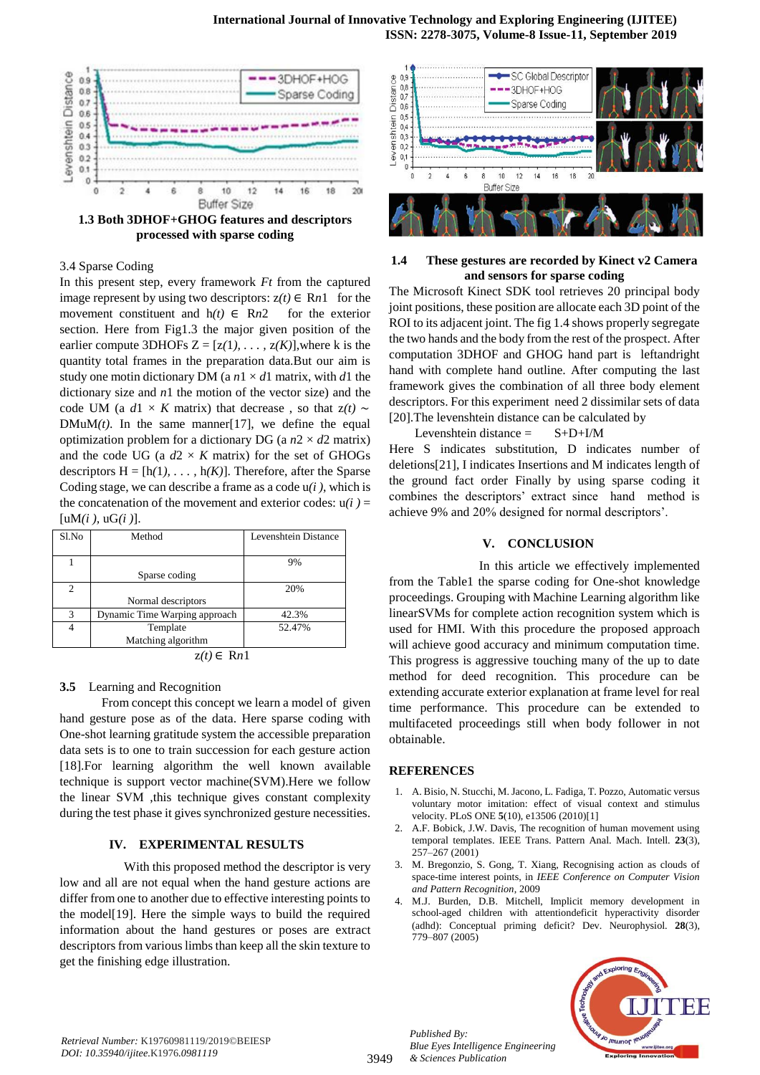

**processed with sparse coding**

## 3.4 Sparse Coding

In this present step, every framework *Ft* from the captured image represent by using two descriptors:  $z(t) \in Rn1$  for the movement constituent and  $h(t) \in Rn2$  for the exterior section. Here from Fig1.3 the major given position of the earlier compute 3DHOFs  $Z = [z(1), \ldots, z(K)]$ , where k is the quantity total frames in the preparation data.But our aim is study one motin dictionary DM (a  $n \times d$ 1 matrix, with *d*1 the dictionary size and *n*1 the motion of the vector size) and the code UM (a  $d1 \times K$  matrix) that decrease, so that  $z(t) \sim$  $DMuM(t)$ . In the same manner<sup>[17]</sup>, we define the equal optimization problem for a dictionary DG (a  $n2 \times d2$  matrix) and the code UG (a  $d2 \times K$  matrix) for the set of GHOGs descriptors  $H = [h(1), \ldots, h(K)]$ . Therefore, after the Sparse Coding stage, we can describe a frame as a code u*(i )*, which is the concatenation of the movement and exterior codes:  $u(i)$  =  $[uM(i), uG(i)]$ .

| Sl.No                                | Method                        | Levenshtein Distance |
|--------------------------------------|-------------------------------|----------------------|
|                                      |                               |                      |
|                                      |                               | 9%                   |
|                                      | Sparse coding                 |                      |
| $\mathfrak{D}$                       |                               | 20%                  |
|                                      | Normal descriptors            |                      |
| 3                                    | Dynamic Time Warping approach | 42.3%                |
| 4                                    | Template                      | 52.47%               |
|                                      | Matching algorithm            |                      |
| $\left( \cdot \right)$ $\sim$ $\sim$ |                               |                      |

 $z(t)$  ∈ R*n*1

### **3.5** Learning and Recognition

 From concept this concept we learn a model of given hand gesture pose as of the data. Here sparse coding with One-shot learning gratitude system the accessible preparation data sets is to one to train succession for each gesture action [18].For learning algorithm the well known available technique is support vector machine(SVM).Here we follow the linear SVM ,this technique gives constant complexity during the test phase it gives synchronized gesture necessities.

#### **IV. EXPERIMENTAL RESULTS**

With this proposed method the descriptor is very low and all are not equal when the hand gesture actions are differ from one to another due to effective interesting points to the model[19]. Here the simple ways to build the required information about the hand gestures or poses are extract descriptors from various limbs than keep all the skin texture to get the finishing edge illustration.



## **1.4 These gestures are recorded by Kinect v2 Camera and sensors for sparse coding**

The Microsoft Kinect SDK tool retrieves 20 principal body joint positions, these position are allocate each 3D point of the ROI to its adjacent joint. The fig 1.4 shows properly segregate the two hands and the body from the rest of the prospect. After computation 3DHOF and GHOG hand part is leftandright hand with complete hand outline. After computing the last framework gives the combination of all three body element descriptors. For this experiment need 2 dissimilar sets of data [20].The levenshtein distance can be calculated by

Levenshtein distance  $=$  S+D+I/M Here S indicates substitution, D indicates number of deletions[21], I indicates Insertions and M indicates length of the ground fact order Finally by using sparse coding it combines the descriptors' extract since hand method is achieve 9% and 20% designed for normal descriptors'.

## **V. CONCLUSION**

 In this article we effectively implemented from the Table1 the sparse coding for One-shot knowledge proceedings. Grouping with Machine Learning algorithm like linearSVMs for complete action recognition system which is used for HMI. With this procedure the proposed approach will achieve good accuracy and minimum computation time. This progress is aggressive touching many of the up to date method for deed recognition. This procedure can be extending accurate exterior explanation at frame level for real time performance. This procedure can be extended to multifaceted proceedings still when body follower in not obtainable.

#### **REFERENCES**

- 1. A. Bisio, N. Stucchi, M. Jacono, L. Fadiga, T. Pozzo, Automatic versus voluntary motor imitation: effect of visual context and stimulus velocity. PLoS ONE **5**(10), e13506 (2010)[1]
- 2. A.F. Bobick, J.W. Davis, The recognition of human movement using temporal templates. IEEE Trans. Pattern Anal. Mach. Intell. **23**(3), 257–267 (2001)
- 3. M. Bregonzio, S. Gong, T. Xiang, Recognising action as clouds of space-time interest points, in *IEEE Conference on Computer Vision and Pattern Recognition*, 2009
- 4. M.J. Burden, D.B. Mitchell, Implicit memory development in school-aged children with attentiondeficit hyperactivity disorder (adhd): Conceptual priming deficit? Dev. Neurophysiol. **28**(3), 779–807 (2005)



*Published By: Blue Eyes Intelligence Engineering & Sciences Publication*